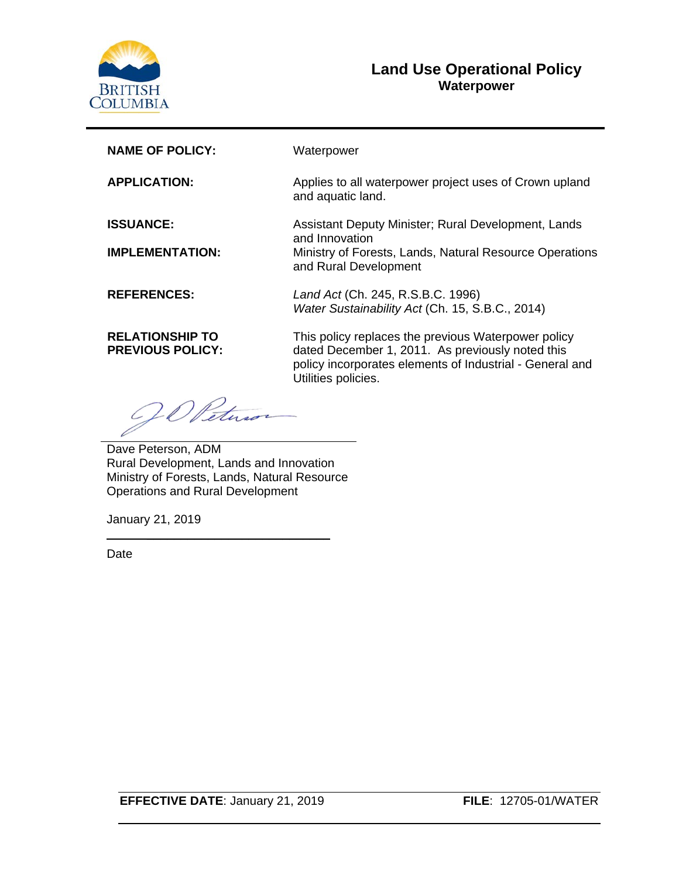

### **Land Use Operational Policy Waterpower**

| <b>NAME OF POLICY:</b>                            | Waterpower                                                                                                                                                                                 |
|---------------------------------------------------|--------------------------------------------------------------------------------------------------------------------------------------------------------------------------------------------|
| <b>APPLICATION:</b>                               | Applies to all waterpower project uses of Crown upland<br>and aquatic land.                                                                                                                |
| <b>ISSUANCE:</b>                                  | Assistant Deputy Minister; Rural Development, Lands<br>and Innovation                                                                                                                      |
| <b>IMPLEMENTATION:</b>                            | Ministry of Forests, Lands, Natural Resource Operations<br>and Rural Development                                                                                                           |
| <b>REFERENCES:</b>                                | Land Act (Ch. 245, R.S.B.C. 1996)<br>Water Sustainability Act (Ch. 15, S.B.C., 2014)                                                                                                       |
| <b>RELATIONSHIP TO</b><br><b>PREVIOUS POLICY:</b> | This policy replaces the previous Waterpower policy<br>dated December 1, 2011. As previously noted this<br>policy incorporates elements of Industrial - General and<br>Utilities policies. |
|                                                   |                                                                                                                                                                                            |

Dave Peterson, ADM Rural Development, Lands and Innovation Ministry of Forests, Lands, Natural Resource Operations and Rural Development

\_\_\_\_\_\_\_\_\_\_\_\_\_\_\_\_\_\_\_\_\_\_\_\_\_\_\_

January 21, 2019

Date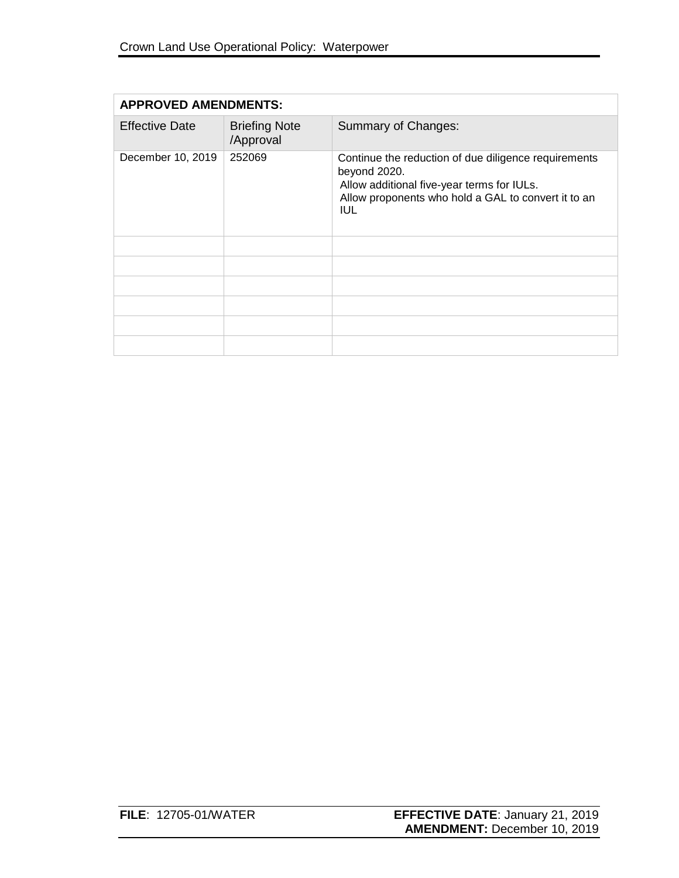| <b>APPROVED AMENDMENTS:</b> |                                   |                                                                                                                                                                                         |
|-----------------------------|-----------------------------------|-----------------------------------------------------------------------------------------------------------------------------------------------------------------------------------------|
| <b>Effective Date</b>       | <b>Briefing Note</b><br>/Approval | Summary of Changes:                                                                                                                                                                     |
| December 10, 2019           | 252069                            | Continue the reduction of due diligence requirements<br>beyond 2020.<br>Allow additional five-year terms for IULs.<br>Allow proponents who hold a GAL to convert it to an<br><b>IUL</b> |
|                             |                                   |                                                                                                                                                                                         |
|                             |                                   |                                                                                                                                                                                         |
|                             |                                   |                                                                                                                                                                                         |
|                             |                                   |                                                                                                                                                                                         |
|                             |                                   |                                                                                                                                                                                         |
|                             |                                   |                                                                                                                                                                                         |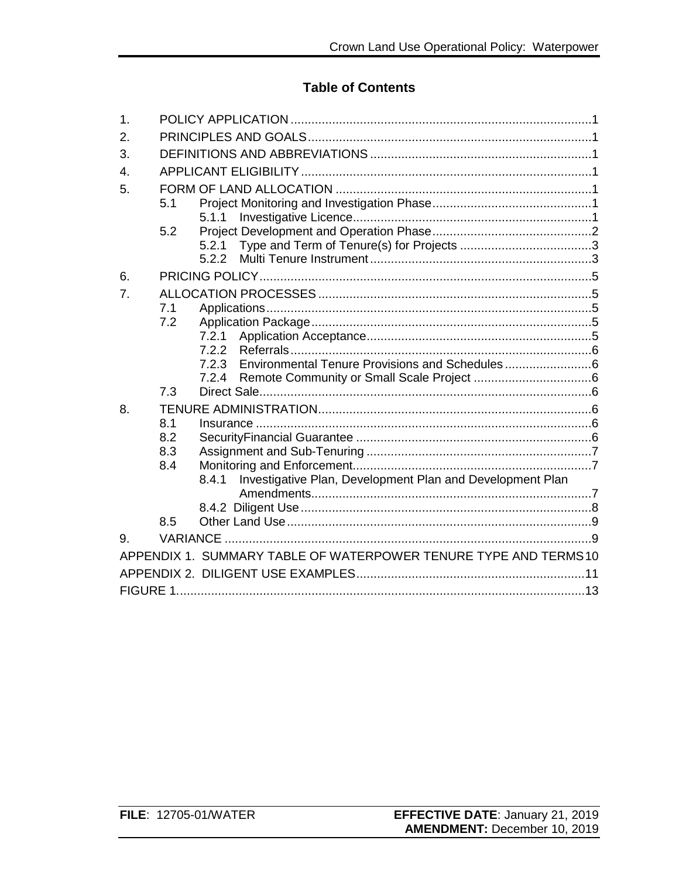## **Table of Contents**

| 1. |            |                                                                    |
|----|------------|--------------------------------------------------------------------|
| 2. |            |                                                                    |
| 3. |            |                                                                    |
| 4. |            |                                                                    |
| 5. |            |                                                                    |
|    | 5.1        |                                                                    |
|    |            | 5.1.1                                                              |
|    | 5.2        |                                                                    |
|    |            | 5.2.1                                                              |
|    |            |                                                                    |
| 6. |            |                                                                    |
| 7. |            |                                                                    |
|    | 7.1        |                                                                    |
|    | 7.2        |                                                                    |
|    |            | 7.2.1                                                              |
|    |            | 7.2.2                                                              |
|    |            | 7.2.3 Environmental Tenure Provisions and Schedules                |
|    | 7.3        |                                                                    |
|    |            |                                                                    |
| 8. |            |                                                                    |
|    | 8.1        |                                                                    |
|    | 8.2<br>8.3 |                                                                    |
|    | 8.4        |                                                                    |
|    |            | Investigative Plan, Development Plan and Development Plan<br>8.4.1 |
|    |            |                                                                    |
|    |            |                                                                    |
|    | 8.5        |                                                                    |
| 9. |            |                                                                    |
|    |            |                                                                    |
|    |            | APPENDIX 1. SUMMARY TABLE OF WATERPOWER TENURE TYPE AND TERMS 10   |
|    |            |                                                                    |
|    |            |                                                                    |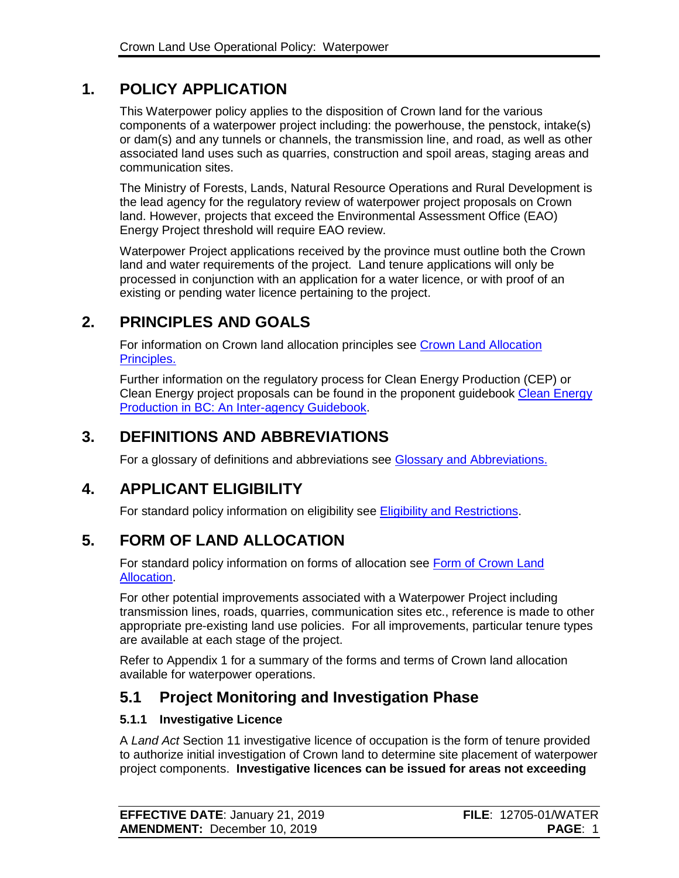# **1. POLICY APPLICATION**

This Waterpower policy applies to the disposition of Crown land for the various components of a waterpower project including: the powerhouse, the penstock, intake(s) or dam(s) and any tunnels or channels, the transmission line, and road, as well as other associated land uses such as quarries, construction and spoil areas, staging areas and communication sites.

The Ministry of Forests, Lands, Natural Resource Operations and Rural Development is the lead agency for the regulatory review of waterpower project proposals on Crown land. However, projects that exceed the Environmental Assessment Office (EAO) Energy Project threshold will require EAO review.

Waterpower Project applications received by the province must outline both the Crown land and water requirements of the project. Land tenure applications will only be processed in conjunction with an application for a water licence, or with proof of an existing or pending water licence pertaining to the project.

# **2. PRINCIPLES AND GOALS**

For information on Crown land allocation principles see [Crown Land Allocation](https://www2.gov.bc.ca/assets/gov/farming-natural-resources-and-industry/natural-resource-use/land-water-use/crown-land/allocation_principles.pdf)  [Principles.](https://www2.gov.bc.ca/assets/gov/farming-natural-resources-and-industry/natural-resource-use/land-water-use/crown-land/allocation_principles.pdf)

Further information on the regulatory process for Clean Energy Production (CEP) or Clean Energy project proposals can be found in the proponent guidebook Clean Energy [Production in BC: An Inter-agency Guidebook.](https://www2.gov.bc.ca/assets/gov/farming-natural-resources-and-industry/natural-resource-use/land-water-use/crown-land/land-use-plans-and-objectives/natural-resource-major-projects/major-projects-office/guidebooks/clean-energy-projects/clean_energy_guidebook.pdf)

# **3. DEFINITIONS AND ABBREVIATIONS**

For a glossary of definitions and abbreviations see [Glossary and Abbreviations.](https://www2.gov.bc.ca/assets/gov/farming-natural-resources-and-industry/natural-resource-use/land-water-use/crown-land/glossary_and_abbreviations.pdf)

# **4. APPLICANT ELIGIBILITY**

For standard policy information on eligibility see [Eligibility and Restrictions.](http://www2.gov.bc.ca/assets/gov/farming-natural-resources-and-industry/natural-resource-use/land-water-use/crown-land/eligibility.pdf)

# **5. FORM OF LAND ALLOCATION**

For standard policy information on forms of allocation see [Form of Crown Land](http://www2.gov.bc.ca/assets/gov/farming-natural-resources-and-industry/natural-resource-use/land-water-use/crown-land/form_of_allocation.pdf)  [Allocation.](http://www2.gov.bc.ca/assets/gov/farming-natural-resources-and-industry/natural-resource-use/land-water-use/crown-land/form_of_allocation.pdf)

For other potential improvements associated with a Waterpower Project including transmission lines, roads, quarries, communication sites etc., reference is made to other appropriate pre-existing land use policies. For all improvements, particular tenure types are available at each stage of the project.

Refer to Appendix 1 for a summary of the forms and terms of Crown land allocation available for waterpower operations.

# **5.1 Project Monitoring and Investigation Phase**

### **5.1.1 Investigative Licence**

A *Land Act* Section 11 investigative licence of occupation is the form of tenure provided to authorize initial investigation of Crown land to determine site placement of waterpower project components. **Investigative licences can be issued for areas not exceeding** 

| <b>EFFECTIVE DATE: January 21, 2019</b> | <b>FILE: 12705-01/WATER</b> |
|-----------------------------------------|-----------------------------|
| <b>AMENDMENT: December 10, 2019</b>     | <b>PAGE: 1</b>              |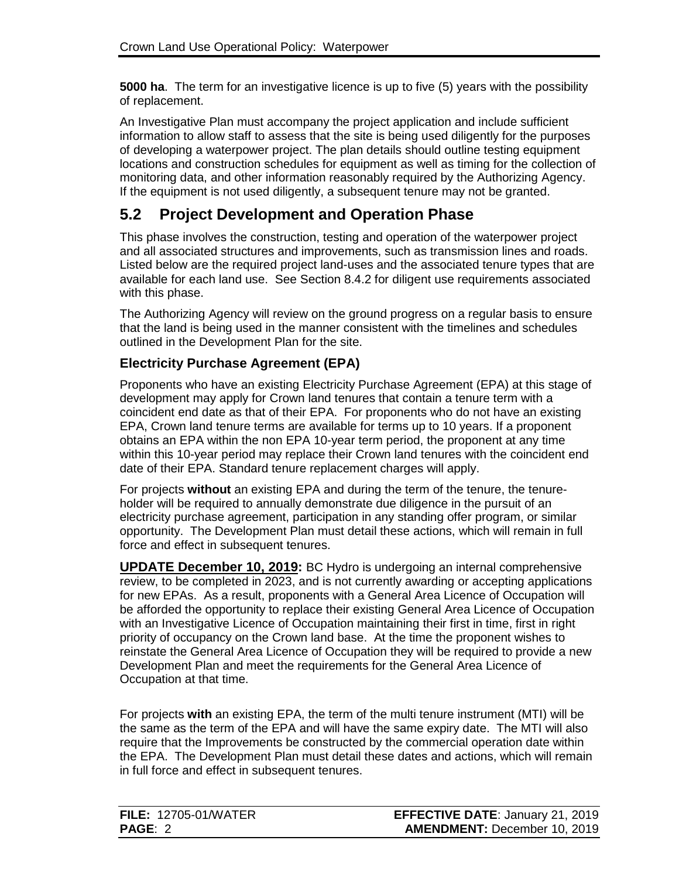**5000 ha**. The term for an investigative licence is up to five (5) years with the possibility of replacement.

An Investigative Plan must accompany the project application and include sufficient information to allow staff to assess that the site is being used diligently for the purposes of developing a waterpower project. The plan details should outline testing equipment locations and construction schedules for equipment as well as timing for the collection of monitoring data, and other information reasonably required by the Authorizing Agency. If the equipment is not used diligently, a subsequent tenure may not be granted.

## **5.2 Project Development and Operation Phase**

This phase involves the construction, testing and operation of the waterpower project and all associated structures and improvements, such as transmission lines and roads. Listed below are the required project land-uses and the associated tenure types that are available for each land use. See Section 8.4.2 for diligent use requirements associated with this phase.

The Authorizing Agency will review on the ground progress on a regular basis to ensure that the land is being used in the manner consistent with the timelines and schedules outlined in the Development Plan for the site.

### **Electricity Purchase Agreement (EPA)**

Proponents who have an existing Electricity Purchase Agreement (EPA) at this stage of development may apply for Crown land tenures that contain a tenure term with a coincident end date as that of their EPA. For proponents who do not have an existing EPA, Crown land tenure terms are available for terms up to 10 years. If a proponent obtains an EPA within the non EPA 10-year term period, the proponent at any time within this 10-year period may replace their Crown land tenures with the coincident end date of their EPA. Standard tenure replacement charges will apply.

For projects **without** an existing EPA and during the term of the tenure, the tenureholder will be required to annually demonstrate due diligence in the pursuit of an electricity purchase agreement, participation in any standing offer program, or similar opportunity. The Development Plan must detail these actions, which will remain in full force and effect in subsequent tenures.

**UPDATE December 10, 2019:** BC Hydro is undergoing an internal comprehensive review, to be completed in 2023, and is not currently awarding or accepting applications for new EPAs. As a result, proponents with a General Area Licence of Occupation will be afforded the opportunity to replace their existing General Area Licence of Occupation with an Investigative Licence of Occupation maintaining their first in time, first in right priority of occupancy on the Crown land base. At the time the proponent wishes to reinstate the General Area Licence of Occupation they will be required to provide a new Development Plan and meet the requirements for the General Area Licence of Occupation at that time.

For projects **with** an existing EPA, the term of the multi tenure instrument (MTI) will be the same as the term of the EPA and will have the same expiry date. The MTI will also require that the Improvements be constructed by the commercial operation date within the EPA. The Development Plan must detail these dates and actions, which will remain in full force and effect in subsequent tenures.

| <b>FILE: 12705-01/WATER</b> | <b>EFFECTIVE DATE: January 21, 2019</b> |
|-----------------------------|-----------------------------------------|
| <b>PAGE: 2</b>              | <b>AMENDMENT: December 10, 2019</b>     |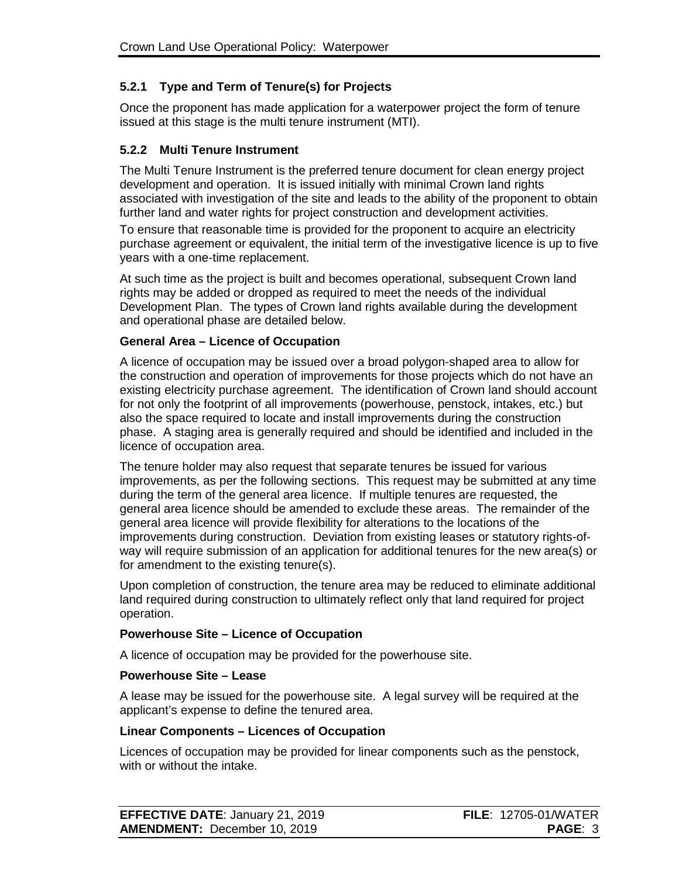### **5.2.1 Type and Term of Tenure(s) for Projects**

Once the proponent has made application for a waterpower project the form of tenure issued at this stage is the multi tenure instrument (MTI).

### **5.2.2 Multi Tenure Instrument**

The Multi Tenure Instrument is the preferred tenure document for clean energy project development and operation. It is issued initially with minimal Crown land rights associated with investigation of the site and leads to the ability of the proponent to obtain further land and water rights for project construction and development activities.

To ensure that reasonable time is provided for the proponent to acquire an electricity purchase agreement or equivalent, the initial term of the investigative licence is up to five years with a one-time replacement.

At such time as the project is built and becomes operational, subsequent Crown land rights may be added or dropped as required to meet the needs of the individual Development Plan. The types of Crown land rights available during the development and operational phase are detailed below.

#### **General Area – Licence of Occupation**

A licence of occupation may be issued over a broad polygon-shaped area to allow for the construction and operation of improvements for those projects which do not have an existing electricity purchase agreement. The identification of Crown land should account for not only the footprint of all improvements (powerhouse, penstock, intakes, etc.) but also the space required to locate and install improvements during the construction phase. A staging area is generally required and should be identified and included in the licence of occupation area.

The tenure holder may also request that separate tenures be issued for various improvements, as per the following sections. This request may be submitted at any time during the term of the general area licence. If multiple tenures are requested, the general area licence should be amended to exclude these areas. The remainder of the general area licence will provide flexibility for alterations to the locations of the improvements during construction. Deviation from existing leases or statutory rights-ofway will require submission of an application for additional tenures for the new area(s) or for amendment to the existing tenure(s).

Upon completion of construction, the tenure area may be reduced to eliminate additional land required during construction to ultimately reflect only that land required for project operation.

### **Powerhouse Site – Licence of Occupation**

A licence of occupation may be provided for the powerhouse site.

#### **Powerhouse Site – Lease**

A lease may be issued for the powerhouse site. A legal survey will be required at the applicant's expense to define the tenured area.

#### **Linear Components – Licences of Occupation**

Licences of occupation may be provided for linear components such as the penstock, with or without the intake.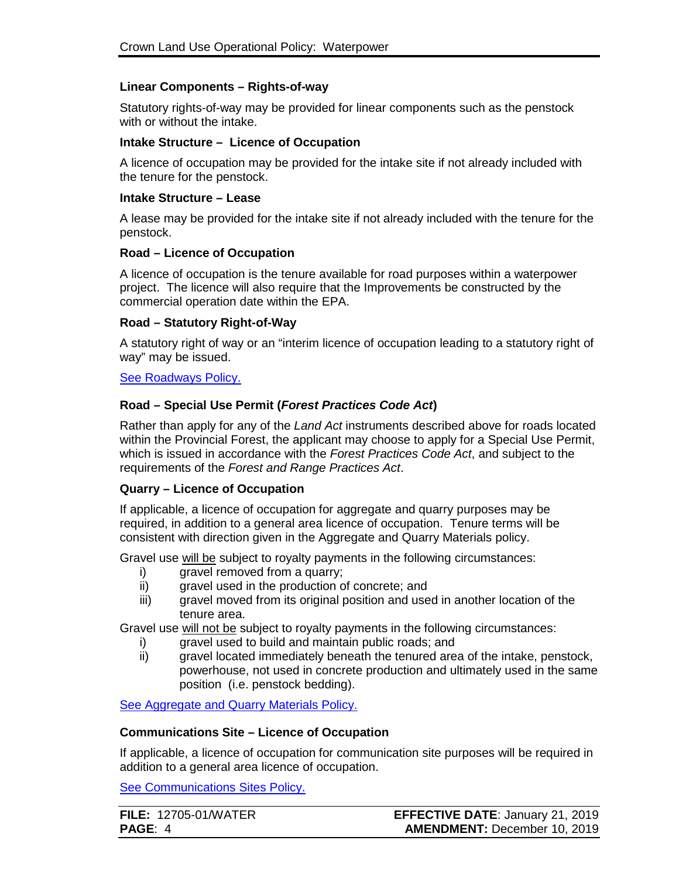#### **Linear Components – Rights-of-way**

Statutory rights-of-way may be provided for linear components such as the penstock with or without the intake.

#### **Intake Structure – Licence of Occupation**

A licence of occupation may be provided for the intake site if not already included with the tenure for the penstock.

#### **Intake Structure – Lease**

A lease may be provided for the intake site if not already included with the tenure for the penstock.

#### **Road – Licence of Occupation**

A licence of occupation is the tenure available for road purposes within a waterpower project. The licence will also require that the Improvements be constructed by the commercial operation date within the EPA.

#### **Road – Statutory Right-of-Way**

A statutory right of way or an "interim licence of occupation leading to a statutory right of way" may be issued.

#### [See Roadways Policy.](https://www2.gov.bc.ca/assets/gov/farming-natural-resources-and-industry/natural-resource-use/land-water-use/crown-land/roadways.pdf)

#### **Road – Special Use Permit (***Forest Practices Code Act***)**

Rather than apply for any of the *Land Act* instruments described above for roads located within the Provincial Forest, the applicant may choose to apply for a Special Use Permit, which is issued in accordance with the *Forest Practices Code Act*, and subject to the requirements of the *Forest and Range Practices Act*.

#### **Quarry – Licence of Occupation**

If applicable, a licence of occupation for aggregate and quarry purposes may be required, in addition to a general area licence of occupation. Tenure terms will be consistent with direction given in the Aggregate and Quarry Materials policy.

Gravel use will be subject to royalty payments in the following circumstances:

- i) gravel removed from a quarry;
- ii) gravel used in the production of concrete; and
- iii) gravel moved from its original position and used in another location of the tenure area.

Gravel use will not be subject to royalty payments in the following circumstances:

- i) gravel used to build and maintain public roads; and
- ii) gravel located immediately beneath the tenured area of the intake, penstock, powerhouse, not used in concrete production and ultimately used in the same position (i.e. penstock bedding).

[See Aggregate and Quarry Materials Policy.](https://www2.gov.bc.ca/assets/gov/farming-natural-resources-and-industry/natural-resource-use/land-water-use/crown-land/aggregates.pdf)

#### **Communications Site – Licence of Occupation**

If applicable, a licence of occupation for communication site purposes will be required in addition to a general area licence of occupation.

[See Communications Sites Policy.](https://www2.gov.bc.ca/assets/gov/farming-natural-resources-and-industry/natural-resource-use/land-water-use/crown-land/communication_sites.pdf)

| <b>FILE: 12705-01/WATER</b> | <b>EFFECTIVE DATE: January 21, 2019</b> |
|-----------------------------|-----------------------------------------|
| <b>PAGE: 4</b>              | <b>AMENDMENT: December 10, 2019</b>     |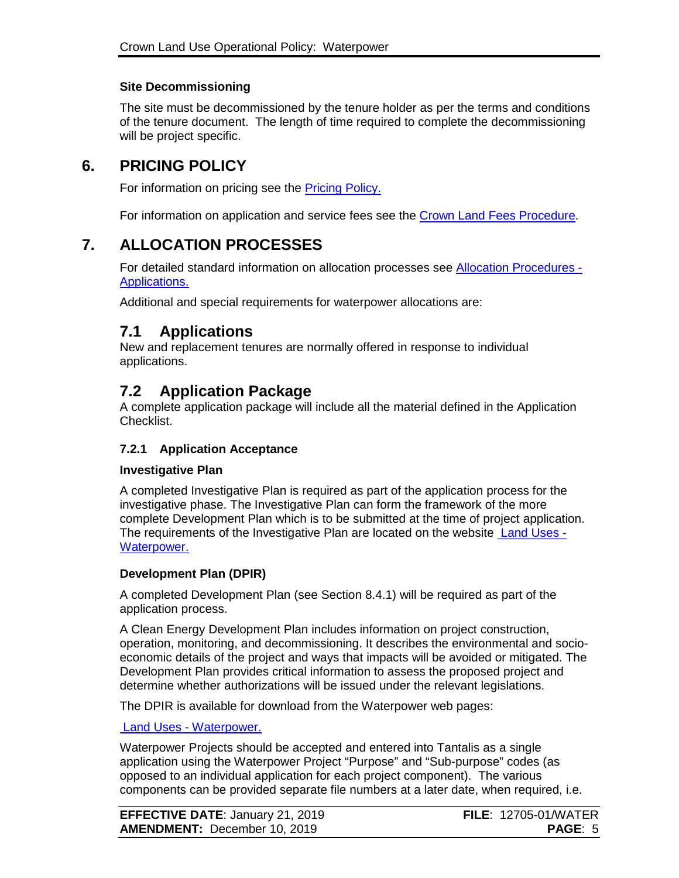### **Site Decommissioning**

The site must be decommissioned by the tenure holder as per the terms and conditions of the tenure document. The length of time required to complete the decommissioning will be project specific.

## **6. PRICING POLICY**

For information on pricing see the **Pricing Policy.** 

For information on application and service fees see the [Crown Land Fees Procedure.](https://www2.gov.bc.ca/assets/gov/farming-natural-resources-and-industry/natural-resource-use/land-water-use/crown-land/fees.pdf)

## **7. ALLOCATION PROCESSES**

For detailed standard information on allocation processes see **Allocation Procedures -**[Applications.](https://www2.gov.bc.ca/assets/gov/farming-natural-resources-and-industry/natural-resource-use/land-water-use/crown-land/ap_applications.pdf)

Additional and special requirements for waterpower allocations are:

### **7.1 Applications**

New and replacement tenures are normally offered in response to individual applications.

## **7.2 Application Package**

A complete application package will include all the material defined in the Application Checklist.

### **7.2.1 Application Acceptance**

#### **Investigative Plan**

A completed Investigative Plan is required as part of the application process for the investigative phase. The Investigative Plan can form the framework of the more complete Development Plan which is to be submitted at the time of project application. The requirements of the Investigative Plan are located on the website [Land Uses -](https://www2.gov.bc.ca/gov/content?id=611DB29D674E49508EE5F5CBA4722168) [Waterpower.](https://www2.gov.bc.ca/gov/content?id=611DB29D674E49508EE5F5CBA4722168)

#### **Development Plan (DPIR)**

A completed Development Plan (see Section 8.4.1) will be required as part of the application process.

A Clean Energy Development Plan includes information on project construction, operation, monitoring, and decommissioning. It describes the environmental and socioeconomic details of the project and ways that impacts will be avoided or mitigated. The Development Plan provides critical information to assess the proposed project and determine whether authorizations will be issued under the relevant legislations.

The DPIR is available for download from the Waterpower web pages:

#### Land Uses - [Waterpower.](https://www2.gov.bc.ca/gov/content?id=611DB29D674E49508EE5F5CBA4722168)

Waterpower Projects should be accepted and entered into Tantalis as a single application using the Waterpower Project "Purpose" and "Sub-purpose" codes (as opposed to an individual application for each project component). The various components can be provided separate file numbers at a later date, when required, i.e.

| <b>EFFECTIVE DATE: January 21, 2019</b> | <b>FILE: 12705-01/WATER</b> |
|-----------------------------------------|-----------------------------|
| <b>AMENDMENT: December 10, 2019</b>     | <b>PAGE: 5</b>              |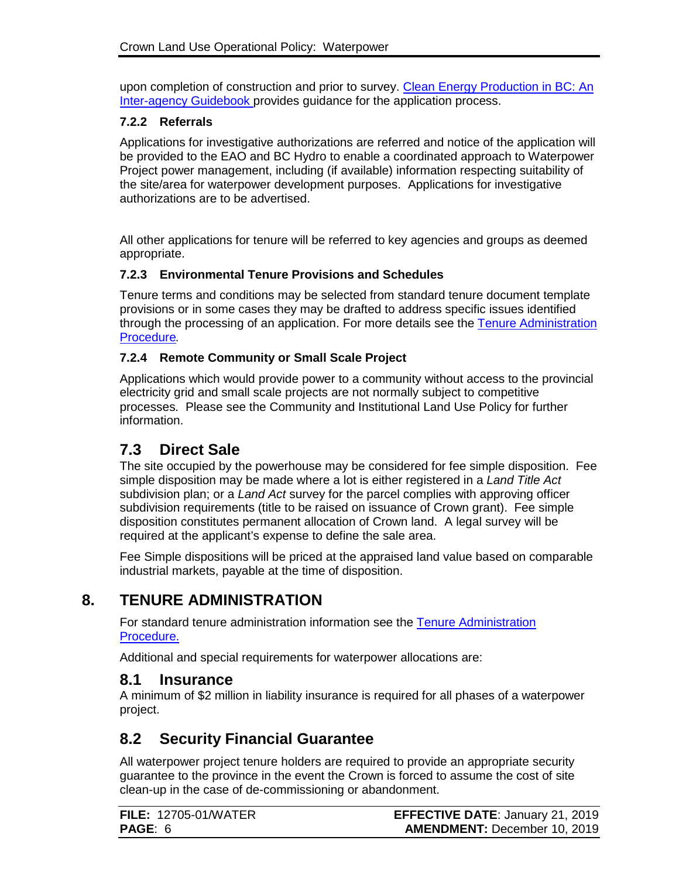upon completion of construction and prior to survey. [Clean Energy Production in BC: An](https://www2.gov.bc.ca/assets/gov/farming-natural-resources-and-industry/natural-resource-use/land-water-use/crown-land/land-use-plans-and-objectives/natural-resource-major-projects/major-projects-office/guidebooks/clean-energy-projects/clean_energy_guidebook.pdf)  [Inter-agency Guidebook](https://www2.gov.bc.ca/assets/gov/farming-natural-resources-and-industry/natural-resource-use/land-water-use/crown-land/land-use-plans-and-objectives/natural-resource-major-projects/major-projects-office/guidebooks/clean-energy-projects/clean_energy_guidebook.pdf) provides guidance for the application process.

### **7.2.2 Referrals**

Applications for investigative authorizations are referred and notice of the application will be provided to the EAO and BC Hydro to enable a coordinated approach to Waterpower Project power management, including (if available) information respecting suitability of the site/area for waterpower development purposes. Applications for investigative authorizations are to be advertised.

All other applications for tenure will be referred to key agencies and groups as deemed appropriate.

### **7.2.3 Environmental Tenure Provisions and Schedules**

Tenure terms and conditions may be selected from standard tenure document template provisions or in some cases they may be drafted to address specific issues identified through the processing of an application. For more details see the Tenure Administration [Procedure](https://www2.gov.bc.ca/assets/gov/farming-natural-resources-and-industry/natural-resource-use/land-water-use/crown-land/ta_general.pdf)*.*

### **7.2.4 Remote Community or Small Scale Project**

Applications which would provide power to a community without access to the provincial electricity grid and small scale projects are not normally subject to competitive processes. Please see the Community and Institutional Land Use Policy for further information.

## **7.3 Direct Sale**

The site occupied by the powerhouse may be considered for fee simple disposition. Fee simple disposition may be made where a lot is either registered in a *Land Title Act* subdivision plan; or a *Land Act* survey for the parcel complies with approving officer subdivision requirements (title to be raised on issuance of Crown grant). Fee simple disposition constitutes permanent allocation of Crown land. A legal survey will be required at the applicant's expense to define the sale area.

Fee Simple dispositions will be priced at the appraised land value based on comparable industrial markets, payable at the time of disposition.

# **8. TENURE ADMINISTRATION**

For standard tenure administration information see the [Tenure Administration](https://www2.gov.bc.ca/assets/gov/farming-natural-resources-and-industry/natural-resource-use/land-water-use/crown-land/ta_general.pdf)  [Procedure.](https://www2.gov.bc.ca/assets/gov/farming-natural-resources-and-industry/natural-resource-use/land-water-use/crown-land/ta_general.pdf)

Additional and special requirements for waterpower allocations are:

### **8.1 Insurance**

A minimum of \$2 million in liability insurance is required for all phases of a waterpower project.

## **8.2 Security Financial Guarantee**

All waterpower project tenure holders are required to provide an appropriate security guarantee to the province in the event the Crown is forced to assume the cost of site clean-up in the case of de-commissioning or abandonment.

| <b>FILE: 12705-01/WATER</b> | <b>EFFECTIVE DATE: January 21, 2019</b> |
|-----------------------------|-----------------------------------------|
| <b>PAGE: 6</b>              | <b>AMENDMENT: December 10, 2019</b>     |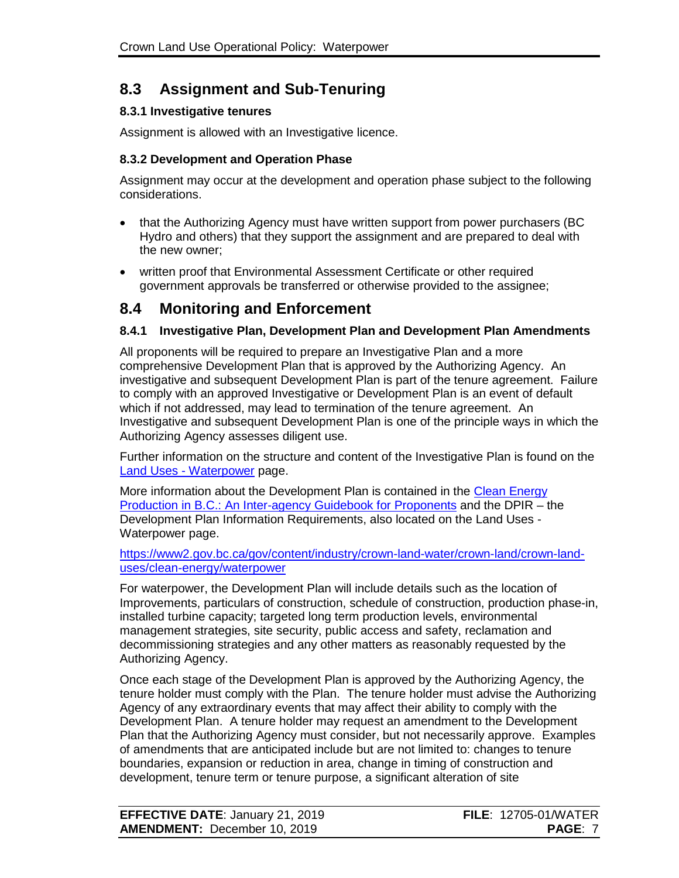# **8.3 Assignment and Sub-Tenuring**

### **8.3.1 Investigative tenures**

Assignment is allowed with an Investigative licence.

### **8.3.2 Development and Operation Phase**

Assignment may occur at the development and operation phase subject to the following considerations.

- that the Authorizing Agency must have written support from power purchasers (BC Hydro and others) that they support the assignment and are prepared to deal with the new owner;
- written proof that Environmental Assessment Certificate or other required government approvals be transferred or otherwise provided to the assignee;

## **8.4 Monitoring and Enforcement**

### **8.4.1 Investigative Plan, Development Plan and Development Plan Amendments**

All proponents will be required to prepare an Investigative Plan and a more comprehensive Development Plan that is approved by the Authorizing Agency. An investigative and subsequent Development Plan is part of the tenure agreement. Failure to comply with an approved Investigative or Development Plan is an event of default which if not addressed, may lead to termination of the tenure agreement. An Investigative and subsequent Development Plan is one of the principle ways in which the Authorizing Agency assesses diligent use.

Further information on the structure and content of the Investigative Plan is found on the Land Uses - [Waterpower](https://www2.gov.bc.ca/gov/content?id=611DB29D674E49508EE5F5CBA4722168) page.

More information about the Development Plan is contained in the [Clean Energy](https://www2.gov.bc.ca/assets/gov/farming-natural-resources-and-industry/natural-resource-use/land-water-use/crown-land/land-use-plans-and-objectives/natural-resource-major-projects/major-projects-office/guidebooks/clean-energy-projects/clean_energy_guidebook.pdf)  [Production in B.C.: An Inter-agency Guidebook for Proponents](https://www2.gov.bc.ca/assets/gov/farming-natural-resources-and-industry/natural-resource-use/land-water-use/crown-land/land-use-plans-and-objectives/natural-resource-major-projects/major-projects-office/guidebooks/clean-energy-projects/clean_energy_guidebook.pdf) and the DPIR – the Development Plan Information Requirements, also located on the Land Uses - Waterpower page.

[https://www2.gov.bc.ca/gov/content/industry/crown-land-water/crown-land/crown-land](https://www2.gov.bc.ca/gov/content?id=611DB29D674E49508EE5F5CBA4722168)[uses/clean-energy/waterpower](https://www2.gov.bc.ca/gov/content?id=611DB29D674E49508EE5F5CBA4722168)

For waterpower, the Development Plan will include details such as the location of Improvements, particulars of construction, schedule of construction, production phase-in, installed turbine capacity; targeted long term production levels, environmental management strategies, site security, public access and safety, reclamation and decommissioning strategies and any other matters as reasonably requested by the Authorizing Agency.

Once each stage of the Development Plan is approved by the Authorizing Agency, the tenure holder must comply with the Plan. The tenure holder must advise the Authorizing Agency of any extraordinary events that may affect their ability to comply with the Development Plan. A tenure holder may request an amendment to the Development Plan that the Authorizing Agency must consider, but not necessarily approve. Examples of amendments that are anticipated include but are not limited to: changes to tenure boundaries, expansion or reduction in area, change in timing of construction and development, tenure term or tenure purpose, a significant alteration of site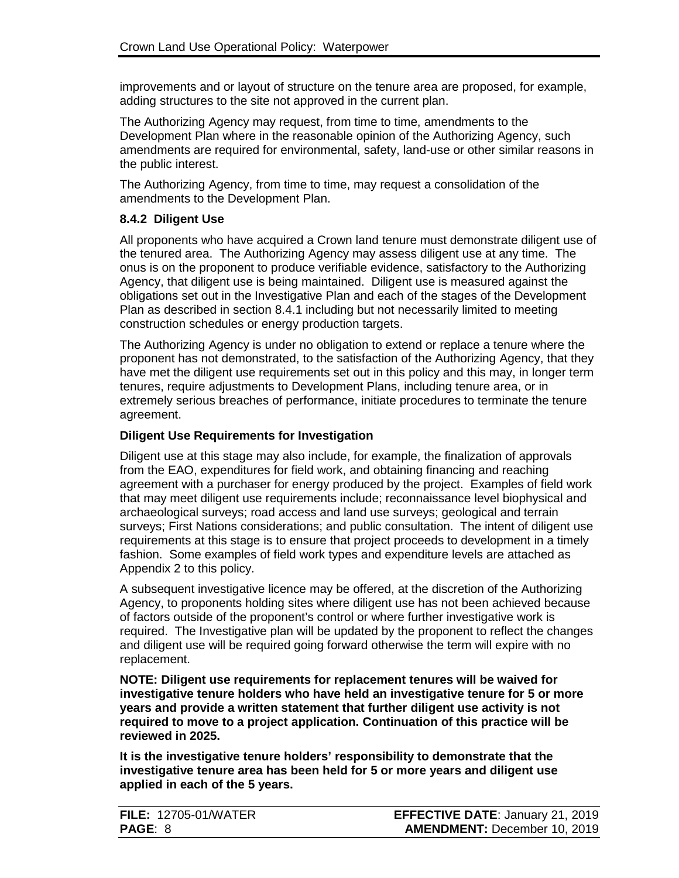improvements and or layout of structure on the tenure area are proposed, for example, adding structures to the site not approved in the current plan.

The Authorizing Agency may request, from time to time, amendments to the Development Plan where in the reasonable opinion of the Authorizing Agency, such amendments are required for environmental, safety, land-use or other similar reasons in the public interest.

The Authorizing Agency, from time to time, may request a consolidation of the amendments to the Development Plan.

### **8.4.2 Diligent Use**

All proponents who have acquired a Crown land tenure must demonstrate diligent use of the tenured area. The Authorizing Agency may assess diligent use at any time. The onus is on the proponent to produce verifiable evidence, satisfactory to the Authorizing Agency, that diligent use is being maintained. Diligent use is measured against the obligations set out in the Investigative Plan and each of the stages of the Development Plan as described in section 8.4.1 including but not necessarily limited to meeting construction schedules or energy production targets.

The Authorizing Agency is under no obligation to extend or replace a tenure where the proponent has not demonstrated, to the satisfaction of the Authorizing Agency, that they have met the diligent use requirements set out in this policy and this may, in longer term tenures, require adjustments to Development Plans, including tenure area, or in extremely serious breaches of performance, initiate procedures to terminate the tenure agreement.

### **Diligent Use Requirements for Investigation**

Diligent use at this stage may also include, for example, the finalization of approvals from the EAO, expenditures for field work, and obtaining financing and reaching agreement with a purchaser for energy produced by the project. Examples of field work that may meet diligent use requirements include; reconnaissance level biophysical and archaeological surveys; road access and land use surveys; geological and terrain surveys; First Nations considerations; and public consultation. The intent of diligent use requirements at this stage is to ensure that project proceeds to development in a timely fashion. Some examples of field work types and expenditure levels are attached as Appendix 2 to this policy.

A subsequent investigative licence may be offered, at the discretion of the Authorizing Agency, to proponents holding sites where diligent use has not been achieved because of factors outside of the proponent's control or where further investigative work is required. The Investigative plan will be updated by the proponent to reflect the changes and diligent use will be required going forward otherwise the term will expire with no replacement.

**NOTE: Diligent use requirements for replacement tenures will be waived for investigative tenure holders who have held an investigative tenure for 5 or more years and provide a written statement that further diligent use activity is not required to move to a project application. Continuation of this practice will be reviewed in 2025.** 

**It is the investigative tenure holders' responsibility to demonstrate that the investigative tenure area has been held for 5 or more years and diligent use applied in each of the 5 years.** 

| <b>FILE: 12705-01/WATER</b> | <b>EFFECTIVE DATE: January 21, 2019</b> |
|-----------------------------|-----------------------------------------|
| <b>PAGE: 8</b>              | <b>AMENDMENT: December 10, 2019</b>     |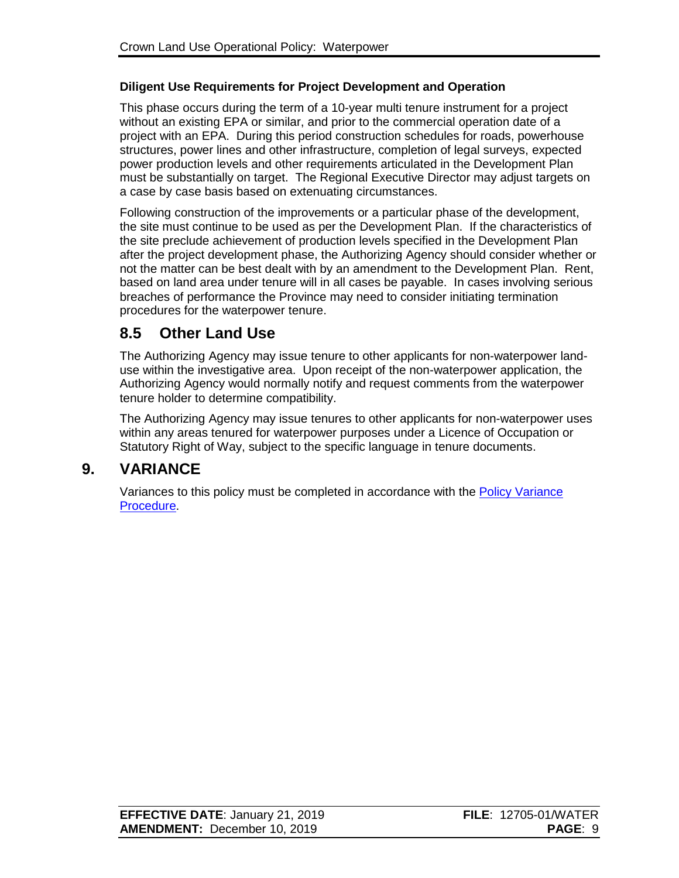### **Diligent Use Requirements for Project Development and Operation**

This phase occurs during the term of a 10-year multi tenure instrument for a project without an existing EPA or similar, and prior to the commercial operation date of a project with an EPA. During this period construction schedules for roads, powerhouse structures, power lines and other infrastructure, completion of legal surveys, expected power production levels and other requirements articulated in the Development Plan must be substantially on target. The Regional Executive Director may adjust targets on a case by case basis based on extenuating circumstances.

Following construction of the improvements or a particular phase of the development, the site must continue to be used as per the Development Plan. If the characteristics of the site preclude achievement of production levels specified in the Development Plan after the project development phase, the Authorizing Agency should consider whether or not the matter can be best dealt with by an amendment to the Development Plan. Rent, based on land area under tenure will in all cases be payable. In cases involving serious breaches of performance the Province may need to consider initiating termination procedures for the waterpower tenure.

## **8.5 Other Land Use**

The Authorizing Agency may issue tenure to other applicants for non-waterpower landuse within the investigative area. Upon receipt of the non-waterpower application, the Authorizing Agency would normally notify and request comments from the waterpower tenure holder to determine compatibility.

The Authorizing Agency may issue tenures to other applicants for non-waterpower uses within any areas tenured for waterpower purposes under a Licence of Occupation or Statutory Right of Way, subject to the specific language in tenure documents.

## **9. VARIANCE**

Variances to this policy must be completed in accordance with the [Policy Variance](http://www2.gov.bc.ca/assets/gov/farming-natural-resources-and-industry/natural-resource-use/land-water-use/crown-land/variance.pdf)  [Procedure.](http://www2.gov.bc.ca/assets/gov/farming-natural-resources-and-industry/natural-resource-use/land-water-use/crown-land/variance.pdf)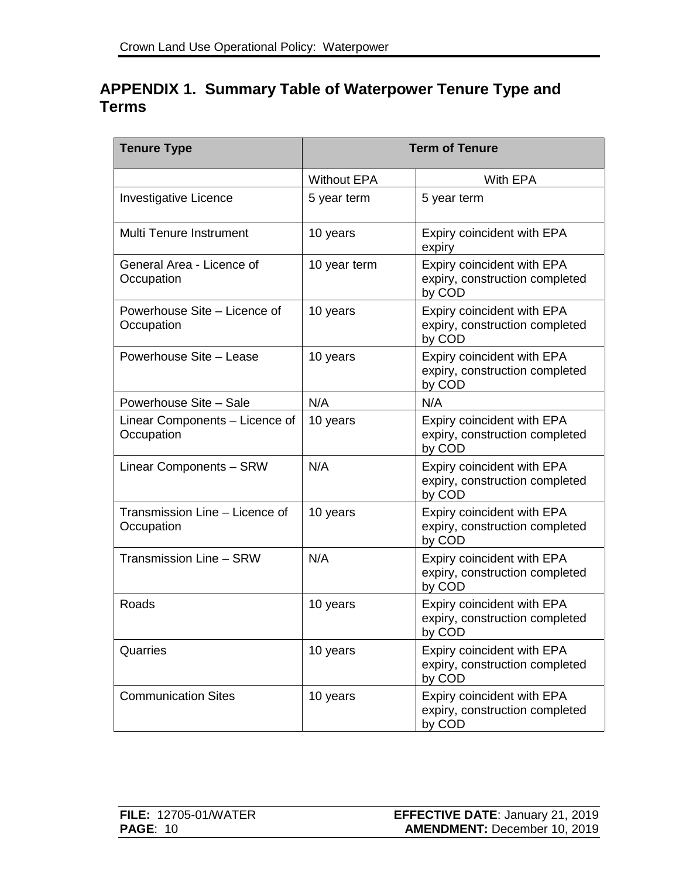# **APPENDIX 1. Summary Table of Waterpower Tenure Type and Terms**

| <b>Tenure Type</b>                           | <b>Term of Tenure</b> |                                                                        |
|----------------------------------------------|-----------------------|------------------------------------------------------------------------|
|                                              | <b>Without EPA</b>    | With EPA                                                               |
| <b>Investigative Licence</b>                 | 5 year term           | 5 year term                                                            |
| Multi Tenure Instrument                      | 10 years              | Expiry coincident with EPA<br>expiry                                   |
| General Area - Licence of<br>Occupation      | 10 year term          | Expiry coincident with EPA<br>expiry, construction completed<br>by COD |
| Powerhouse Site - Licence of<br>Occupation   | 10 years              | Expiry coincident with EPA<br>expiry, construction completed<br>by COD |
| Powerhouse Site - Lease                      | 10 years              | Expiry coincident with EPA<br>expiry, construction completed<br>by COD |
| Powerhouse Site - Sale                       | N/A                   | N/A                                                                    |
| Linear Components - Licence of<br>Occupation | 10 years              | Expiry coincident with EPA<br>expiry, construction completed<br>by COD |
| Linear Components - SRW                      | N/A                   | Expiry coincident with EPA<br>expiry, construction completed<br>by COD |
| Transmission Line - Licence of<br>Occupation | 10 years              | Expiry coincident with EPA<br>expiry, construction completed<br>by COD |
| Transmission Line - SRW                      | N/A                   | Expiry coincident with EPA<br>expiry, construction completed<br>by COD |
| Roads                                        | 10 years              | Expiry coincident with EPA<br>expiry, construction completed<br>by COD |
| Quarries                                     | 10 years              | Expiry coincident with EPA<br>expiry, construction completed<br>by COD |
| <b>Communication Sites</b>                   | 10 years              | Expiry coincident with EPA<br>expiry, construction completed<br>by COD |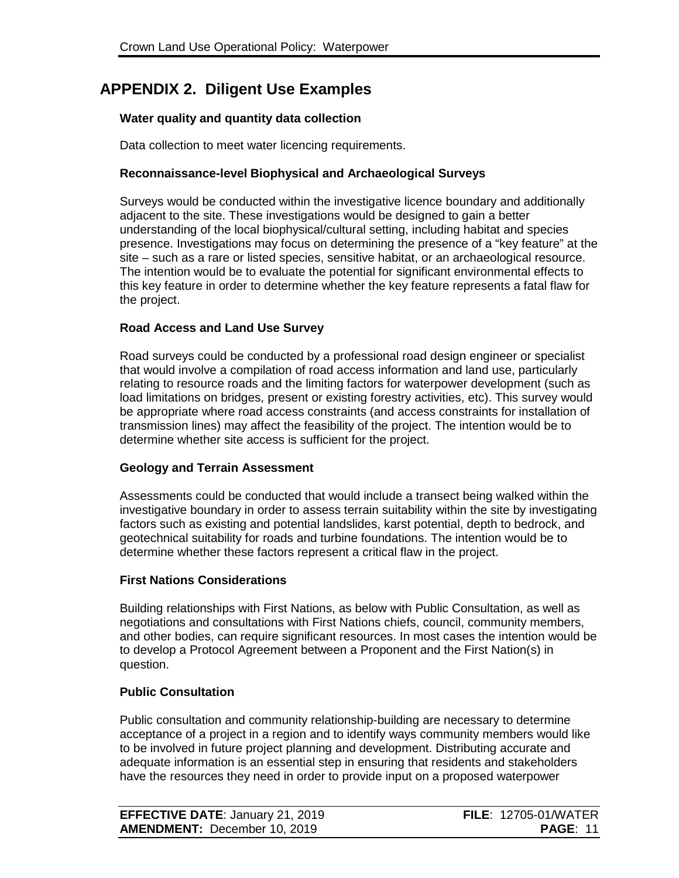## **APPENDIX 2. Diligent Use Examples**

### **Water quality and quantity data collection**

Data collection to meet water licencing requirements.

### **Reconnaissance-level Biophysical and Archaeological Surveys**

Surveys would be conducted within the investigative licence boundary and additionally adjacent to the site. These investigations would be designed to gain a better understanding of the local biophysical/cultural setting, including habitat and species presence. Investigations may focus on determining the presence of a "key feature" at the site – such as a rare or listed species, sensitive habitat, or an archaeological resource. The intention would be to evaluate the potential for significant environmental effects to this key feature in order to determine whether the key feature represents a fatal flaw for the project.

#### **Road Access and Land Use Survey**

Road surveys could be conducted by a professional road design engineer or specialist that would involve a compilation of road access information and land use, particularly relating to resource roads and the limiting factors for waterpower development (such as load limitations on bridges, present or existing forestry activities, etc). This survey would be appropriate where road access constraints (and access constraints for installation of transmission lines) may affect the feasibility of the project. The intention would be to determine whether site access is sufficient for the project.

#### **Geology and Terrain Assessment**

Assessments could be conducted that would include a transect being walked within the investigative boundary in order to assess terrain suitability within the site by investigating factors such as existing and potential landslides, karst potential, depth to bedrock, and geotechnical suitability for roads and turbine foundations. The intention would be to determine whether these factors represent a critical flaw in the project.

#### **First Nations Considerations**

Building relationships with First Nations, as below with Public Consultation, as well as negotiations and consultations with First Nations chiefs, council, community members, and other bodies, can require significant resources. In most cases the intention would be to develop a Protocol Agreement between a Proponent and the First Nation(s) in question.

#### **Public Consultation**

Public consultation and community relationship-building are necessary to determine acceptance of a project in a region and to identify ways community members would like to be involved in future project planning and development. Distributing accurate and adequate information is an essential step in ensuring that residents and stakeholders have the resources they need in order to provide input on a proposed waterpower

| <b>EFFECTIVE DATE: January 21, 2019</b> | <b>FILE: 12705-01/WATER</b> |
|-----------------------------------------|-----------------------------|
| <b>AMENDMENT: December 10, 2019</b>     | <b>PAGE: 11</b>             |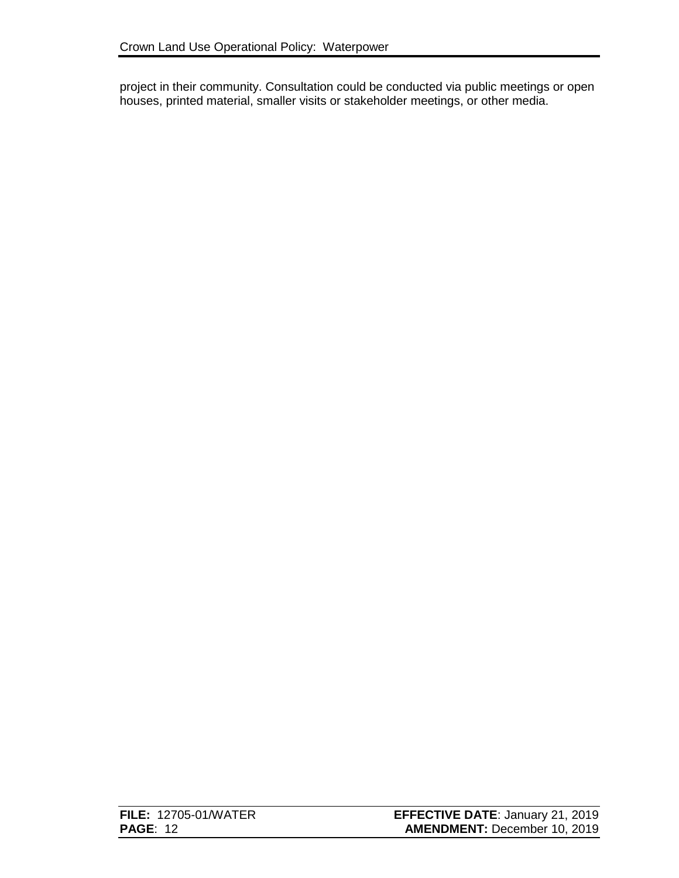project in their community. Consultation could be conducted via public meetings or open houses, printed material, smaller visits or stakeholder meetings, or other media.